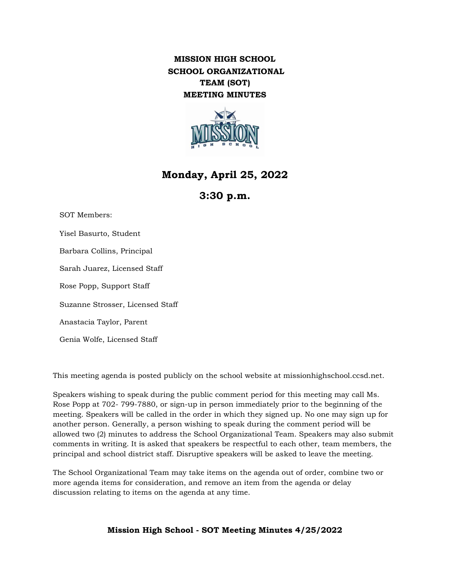## **MISSION HIGH SCHOOL SCHOOL ORGANIZATIONAL TEAM (SOT) MEETING MINUTES**



# **Monday, April 25, 2022**

## **3:30 p.m.**

SOT Members: Yisel Basurto, Student Barbara Collins, Principal Sarah Juarez, Licensed Staff Rose Popp, Support Staff Suzanne Strosser, Licensed Staff Anastacia Taylor, Parent Genia Wolfe, Licensed Staff

This meeting agenda is posted publicly on the school website at missionhighschool.ccsd.net.

Speakers wishing to speak during the public comment period for this meeting may call Ms. Rose Popp at 702- 799-7880, or sign-up in person immediately prior to the beginning of the meeting. Speakers will be called in the order in which they signed up. No one may sign up for another person. Generally, a person wishing to speak during the comment period will be allowed two (2) minutes to address the School Organizational Team. Speakers may also submit comments in writing. It is asked that speakers be respectful to each other, team members, the principal and school district staff. Disruptive speakers will be asked to leave the meeting.

The School Organizational Team may take items on the agenda out of order, combine two or more agenda items for consideration, and remove an item from the agenda or delay discussion relating to items on the agenda at any time.

**Mission High School - SOT Meeting Minutes 4/25/2022**